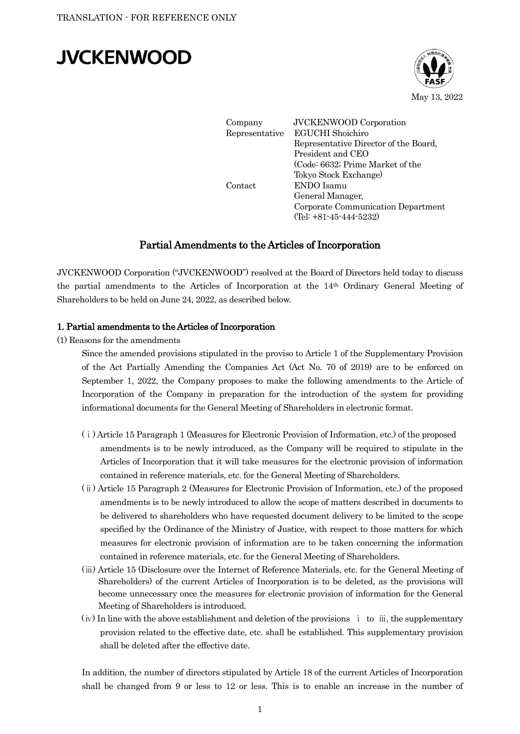# **JVCKENWOOD**



Company JVCKENWOOD Corporation Representative EGUCHI Shoichiro Representative Director of the Board, President and CEO (Code: 6632; Prime Market of the Tokyo Stock Exchange) Contact ENDO Isamu General Manager, Corporate Communication Department (Tel: +81-45-444-5232)

## Partial Amendments to the Articles of Incorporation

JVCKENWOOD Corporation ("JVCKENWOOD") resolved at the Board of Directors held today to discuss the partial amendments to the Articles of Incorporation at the 14th Ordinary General Meeting of Shareholders to be held on June 24, 2022, as described below.

#### 1. Partial amendments to the Articles of Incorporation

(1) Reasons for the amendments

Since the amended provisions stipulated in the proviso to Article 1 of the Supplementary Provision of the Act Partially Amending the Companies Act (Act No. 70 of 2019) are to be enforced on September 1, 2022, the Company proposes to make the following amendments to the Article of Incorporation of the Company in preparation for the introduction of the system for providing informational documents for the General Meeting of Shareholders in electronic format.

- (ⅰ) Article 15 Paragraph 1 (Measures for Electronic Provision of Information, etc.) of the proposed amendments is to be newly introduced, as the Company will be required to stipulate in the Articles of Incorporation that it will take measures for the electronic provision of information contained in reference materials, etc. for the General Meeting of Shareholders.
- (ⅱ) Article 15 Paragraph 2 (Measures for Electronic Provision of Information, etc.) of the proposed amendments is to be newly introduced to allow the scope of matters described in documents to be delivered to shareholders who have requested document delivery to be limited to the scope specified by the Ordinance of the Ministry of Justice, with respect to those matters for which measures for electronic provision of information are to be taken concerning the information contained in reference materials, etc. for the General Meeting of Shareholders.
- (ⅲ) Article 15 (Disclosure over the Internet of Reference Materials, etc. for the General Meeting of Shareholders) of the current Articles of Incorporation is to be deleted, as the provisions will become unnecessary once the measures for electronic provision of information for the General Meeting of Shareholders is introduced.
- $(iv)$  In line with the above establishment and deletion of the provisions  $\mathbf{i}$  to  $\mathbf{iii}$ , the supplementary provision related to the effective date, etc. shall be established. This supplementary provision shall be deleted after the effective date.

In addition, the number of directors stipulated by Article 18 of the current Articles of Incorporation shall be changed from 9 or less to 12 or less. This is to enable an increase in the number of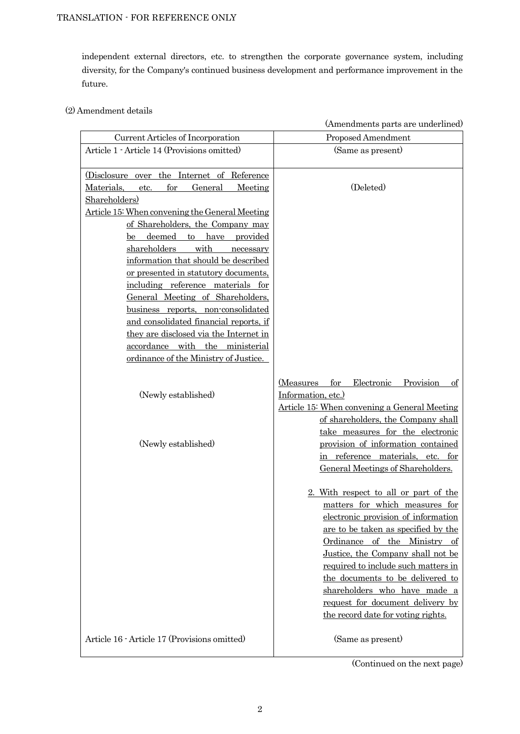independent external directors, etc. to strengthen the corporate governance system, including diversity, for the Company's continued business development and performance improvement in the future.

## (2) Amendment details

|                                                                                                                                                                                                                                                                                                                                                                                                                                                                                                                                                                                                                                                 | (Amendments parts are underlined)                                                                                                                                                                                                                                                                                                                                                                                                    |
|-------------------------------------------------------------------------------------------------------------------------------------------------------------------------------------------------------------------------------------------------------------------------------------------------------------------------------------------------------------------------------------------------------------------------------------------------------------------------------------------------------------------------------------------------------------------------------------------------------------------------------------------------|--------------------------------------------------------------------------------------------------------------------------------------------------------------------------------------------------------------------------------------------------------------------------------------------------------------------------------------------------------------------------------------------------------------------------------------|
| Current Articles of Incorporation                                                                                                                                                                                                                                                                                                                                                                                                                                                                                                                                                                                                               | Proposed Amendment                                                                                                                                                                                                                                                                                                                                                                                                                   |
| Article 1 - Article 14 (Provisions omitted)                                                                                                                                                                                                                                                                                                                                                                                                                                                                                                                                                                                                     | (Same as present)                                                                                                                                                                                                                                                                                                                                                                                                                    |
| (Disclosure over the Internet of Reference<br>Materials,<br>for<br>General<br>Meeting<br>etc.<br>Shareholders)<br>Article 15: When convening the General Meeting<br>of Shareholders, the Company may<br>to have<br>provided<br>deemed<br>be<br>shareholders<br>with<br>necessary<br>information that should be described<br>or presented in statutory documents,<br>including reference materials for<br>General Meeting of Shareholders,<br>business reports, non-consolidated<br>and consolidated financial reports, if<br>they are disclosed via the Internet in<br>accordance with the ministerial<br>ordinance of the Ministry of Justice. | (Deleted)                                                                                                                                                                                                                                                                                                                                                                                                                            |
| (Newly established)<br>(Newly established)                                                                                                                                                                                                                                                                                                                                                                                                                                                                                                                                                                                                      | Provision<br>for<br>Electronic<br>(Measures<br>$\circ$ f<br>Information, etc.)<br>Article 15: When convening a General Meeting<br>of shareholders, the Company shall<br>take measures for the electronic<br>provision of information contained<br>in reference materials, etc. for<br>General Meetings of Shareholders.                                                                                                              |
| Article 16 - Article 17 (Provisions omitted)                                                                                                                                                                                                                                                                                                                                                                                                                                                                                                                                                                                                    | 2. With respect to all or part of the<br>matters for which measures for<br>electronic provision of information<br>are to be taken as specified by the<br>Ordinance of the Ministry of<br>Justice, the Company shall not be<br>required to include such matters in<br>the documents to be delivered to<br>shareholders who have made a<br>request for document delivery by<br>the record date for voting rights.<br>(Same as present) |
|                                                                                                                                                                                                                                                                                                                                                                                                                                                                                                                                                                                                                                                 |                                                                                                                                                                                                                                                                                                                                                                                                                                      |

(Continued on the next page)